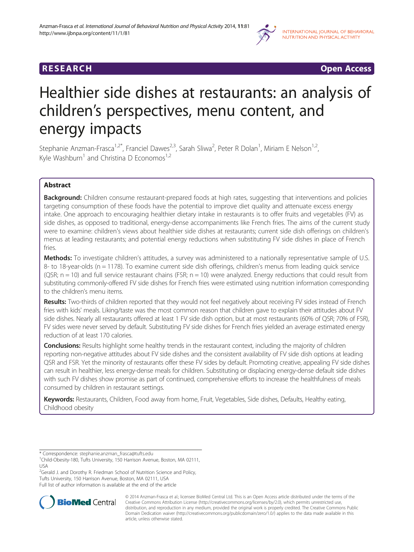

**RESEARCH RESEARCH CONSUMING ACCESS** 

# Healthier side dishes at restaurants: an analysis of children's perspectives, menu content, and energy impacts

Stephanie Anzman-Frasca<sup>1,2\*</sup>, Franciel Dawes<sup>2,3</sup>, Sarah Sliwa<sup>2</sup>, Peter R Dolan<sup>1</sup>, Miriam E Nelson<sup>1,2</sup>, Kyle Washburn<sup>1</sup> and Christina D Economos<sup>1,2</sup>

# Abstract

Background: Children consume restaurant-prepared foods at high rates, suggesting that interventions and policies targeting consumption of these foods have the potential to improve diet quality and attenuate excess energy intake. One approach to encouraging healthier dietary intake in restaurants is to offer fruits and vegetables (FV) as side dishes, as opposed to traditional, energy-dense accompaniments like French fries. The aims of the current study were to examine: children's views about healthier side dishes at restaurants; current side dish offerings on children's menus at leading restaurants; and potential energy reductions when substituting FV side dishes in place of French fries.

Methods: To investigate children's attitudes, a survey was administered to a nationally representative sample of U.S. 8- to 18-year-olds (n = 1178). To examine current side dish offerings, children's menus from leading quick service  $(QSR; n = 10)$  and full service restaurant chains (FSR;  $n = 10$ ) were analyzed. Energy reductions that could result from substituting commonly-offered FV side dishes for French fries were estimated using nutrition information corresponding to the children's menu items.

Results: Two-thirds of children reported that they would not feel negatively about receiving FV sides instead of French fries with kids' meals. Liking/taste was the most common reason that children gave to explain their attitudes about FV side dishes. Nearly all restaurants offered at least 1 FV side dish option, but at most restaurants (60% of QSR; 70% of FSR), FV sides were never served by default. Substituting FV side dishes for French fries yielded an average estimated energy reduction of at least 170 calories.

**Conclusions:** Results highlight some healthy trends in the restaurant context, including the majority of children reporting non-negative attitudes about FV side dishes and the consistent availability of FV side dish options at leading QSR and FSR. Yet the minority of restaurants offer these FV sides by default. Promoting creative, appealing FV side dishes can result in healthier, less energy-dense meals for children. Substituting or displacing energy-dense default side dishes with such FV dishes show promise as part of continued, comprehensive efforts to increase the healthfulness of meals consumed by children in restaurant settings.

Keywords: Restaurants, Children, Food away from home, Fruit, Vegetables, Side dishes, Defaults, Healthy eating, Childhood obesity

<sup>2</sup>Gerald J. and Dorothy R. Friedman School of Nutrition Science and Policy, Tufts University, 150 Harrison Avenue, Boston, MA 02111, USA Full list of author information is available at the end of the article



© 2014 Anzman-Frasca et al.; licensee BioMed Central Ltd. This is an Open Access article distributed under the terms of the Creative Commons Attribution License (<http://creativecommons.org/licenses/by/2.0>), which permits unrestricted use, distribution, and reproduction in any medium, provided the original work is properly credited. The Creative Commons Public Domain Dedication waiver [\(http://creativecommons.org/publicdomain/zero/1.0/\)](http://creativecommons.org/publicdomain/zero/1.0/) applies to the data made available in this article, unless otherwise stated.

<sup>\*</sup> Correspondence: [stephanie.anzman\\_frasca@tufts.edu](mailto:stephanie.anzman_frasca@tufts.edu) <sup>1</sup>

<sup>&</sup>lt;sup>1</sup>Child-Obesity-180, Tufts University, 150 Harrison Avenue, Boston, MA 02111, USA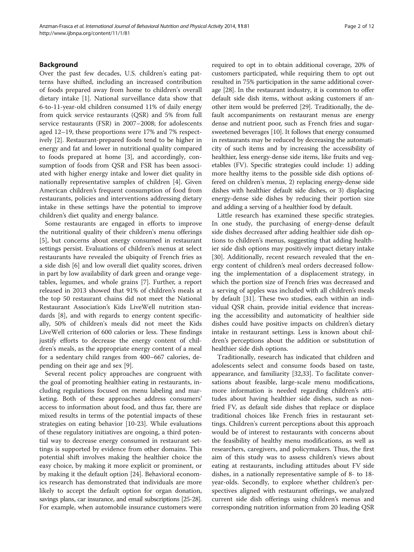#### Background

Over the past few decades, U.S. children's eating patterns have shifted, including an increased contribution of foods prepared away from home to children's overall dietary intake [\[1\]](#page-11-0). National surveillance data show that 6-to-11-year-old children consumed 11% of daily energy from quick service restaurants (QSR) and 5% from full service restaurants (FSR) in 2007–2008; for adolescents aged 12–19, these proportions were 17% and 7% respectively [[2\]](#page-11-0). Restaurant-prepared foods tend to be higher in energy and fat and lower in nutritional quality compared to foods prepared at home [\[3](#page-11-0)], and accordingly, consumption of foods from QSR and FSR has been associated with higher energy intake and lower diet quality in nationally representative samples of children [[4\]](#page-11-0). Given American children's frequent consumption of food from restaurants, policies and interventions addressing dietary intake in these settings have the potential to improve children's diet quality and energy balance.

Some restaurants are engaged in efforts to improve the nutritional quality of their children's menu offerings [[5\]](#page-11-0), but concerns about energy consumed in restaurant settings persist. Evaluations of children's menus at select restaurants have revealed the ubiquity of French fries as a side dish [[6\]](#page-11-0) and low overall diet quality scores, driven in part by low availability of dark green and orange vegetables, legumes, and whole grains [[7\]](#page-11-0). Further, a report released in 2013 showed that 91% of children's meals at the top 50 restaurant chains did not meet the National Restaurant Association's Kids LiveWell nutrition standards [[8](#page-11-0)], and with regards to energy content specifically, 50% of children's meals did not meet the Kids LiveWell criterion of 600 calories or less. These findings justify efforts to decrease the energy content of children's meals, as the appropriate energy content of a meal for a sedentary child ranges from 400–667 calories, depending on their age and sex [[9\]](#page-11-0).

Several recent policy approaches are congruent with the goal of promoting healthier eating in restaurants, including regulations focused on menu labeling and marketing. Both of these approaches address consumers' access to information about food, and thus far, there are mixed results in terms of the potential impacts of these strategies on eating behavior [[10-23\]](#page-11-0). While evaluations of these regulatory initiatives are ongoing, a third potential way to decrease energy consumed in restaurant settings is supported by evidence from other domains. This potential shift involves making the healthier choice the easy choice, by making it more explicit or prominent, or by making it the default option [\[24](#page-11-0)]. Behavioral economics research has demonstrated that individuals are more likely to accept the default option for organ donation, savings plans, car insurance, and email subscriptions [\[25-28\]](#page-11-0). For example, when automobile insurance customers were

required to opt in to obtain additional coverage, 20% of customers participated, while requiring them to opt out resulted in 75% participation in the same additional coverage [\[28\]](#page-11-0). In the restaurant industry, it is common to offer default side dish items, without asking customers if another item would be preferred [[29](#page-11-0)]. Traditionally, the default accompaniments on restaurant menus are energy dense and nutrient poor, such as French fries and sugarsweetened beverages [[10\]](#page-11-0). It follows that energy consumed in restaurants may be reduced by decreasing the automaticity of such items and by increasing the accessibility of healthier, less energy-dense side items, like fruits and vegetables (FV). Specific strategies could include: 1) adding more healthy items to the possible side dish options offered on children's menus, 2) replacing energy-dense side dishes with healthier default side dishes, or 3) displacing energy-dense side dishes by reducing their portion size and adding a serving of a healthier food by default.

Little research has examined these specific strategies. In one study, the purchasing of energy-dense default side dishes decreased after adding healthier side dish options to children's menus, suggesting that adding healthier side dish options may positively impact dietary intake [[30\]](#page-11-0). Additionally, recent research revealed that the energy content of children's meal orders decreased following the implementation of a displacement strategy, in which the portion size of French fries was decreased and a serving of apples was included with all children's meals by default [\[31\]](#page-11-0). These two studies, each within an individual QSR chain, provide initial evidence that increasing the accessibility and automaticity of healthier side dishes could have positive impacts on children's dietary intake in restaurant settings. Less is known about children's perceptions about the addition or substitution of healthier side dish options.

Traditionally, research has indicated that children and adolescents select and consume foods based on taste, appearance, and familiarity [\[32,33](#page-11-0)]. To facilitate conversations about feasible, large-scale menu modifications, more information is needed regarding children's attitudes about having healthier side dishes, such as nonfried FV, as default side dishes that replace or displace traditional choices like French fries in restaurant settings. Children's current perceptions about this approach would be of interest to restaurants with concerns about the feasibility of healthy menu modifications, as well as researchers, caregivers, and policymakers. Thus, the first aim of this study was to assess children's views about eating at restaurants, including attitudes about FV side dishes, in a nationally representative sample of 8- to 18 year-olds. Secondly, to explore whether children's perspectives aligned with restaurant offerings, we analyzed current side dish offerings using children's menus and corresponding nutrition information from 20 leading QSR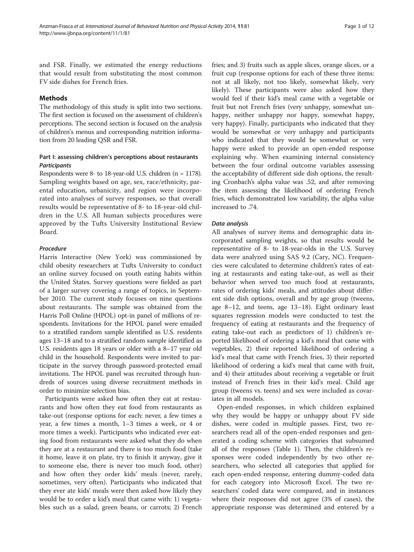and FSR. Finally, we estimated the energy reductions that would result from substituting the most common FV side dishes for French fries.

# **Mathods**

The methodology of this study is split into two sections. The first section is focused on the assessment of children's perceptions. The second section is focused on the analysis of children's menus and corresponding nutrition information from 20 leading QSR and FSR.

# Part I: assessing children's perceptions about restaurants **Participants**

Respondents were 8- to 18-year-old U.S. children (n = 1178). Sampling weights based on age, sex, race/ethnicity, parental education, urbanicity, and region were incorporated into analyses of survey responses, so that overall results would be representative of 8- to 18-year-old children in the U.S. All human subjects procedures were approved by the Tufts University Institutional Review Board.

## Procedure

Harris Interactive (New York) was commissioned by child obesity researchers at Tufts University to conduct an online survey focused on youth eating habits within the United States. Survey questions were fielded as part of a larger survey covering a range of topics, in September 2010. The current study focuses on nine questions about restaurants. The sample was obtained from the Harris Poll Online (HPOL) opt-in panel of millions of respondents. Invitations for the HPOL panel were emailed to a stratified random sample identified as U.S. residents ages 13–18 and to a stratified random sample identified as U.S. residents ages 18 years or older with a 8–17 year old child in the household. Respondents were invited to participate in the survey through password-protected email invitations. The HPOL panel was recruited through hundreds of sources using diverse recruitment methods in order to minimize selection bias.

Participants were asked how often they eat at restaurants and how often they eat food from restaurants as take-out (response options for each: never, a few times a year, a few times a month, 1–3 times a week, or 4 or more times a week). Participants who indicated ever eating food from restaurants were asked what they do when they are at a restaurant and there is too much food (take it home, leave it on plate, try to finish it anyway, give it to someone else, there is never too much food, other) and how often they order kids' meals (never, rarely, sometimes, very often). Participants who indicated that they ever ate kids' meals were then asked how likely they would be to order a kid's meal that came with: 1) vegetables such as a salad, green beans, or carrots; 2) French fries; and 3) fruits such as apple slices, orange slices, or a fruit cup (response options for each of these three items: not at all likely, not too likely, somewhat likely, very likely). These participants were also asked how they would feel if their kid's meal came with a vegetable or fruit but not French fries (very unhappy, somewhat unhappy, neither unhappy nor happy, somewhat happy, very happy). Finally, participants who indicated that they would be somewhat or very unhappy and participants who indicated that they would be somewhat or very happy were asked to provide an open-ended response explaining why. When examining internal consistency between the four ordinal outcome variables assessing the acceptability of different side dish options, the resulting Cronbach's alpha value was .52, and after removing the item assessing the likelihood of ordering French fries, which demonstrated low variability, the alpha value increased to .74.

# Data analysis

All analyses of survey items and demographic data incorporated sampling weights, so that results would be representative of 8- to 18-year-olds in the U.S. Survey data were analyzed using SAS 9.2 (Cary, NC). Frequencies were calculated to determine children's rates of eating at restaurants and eating take-out, as well as their behavior when served too much food at restaurants, rates of ordering kids' meals, and attitudes about different side dish options, overall and by age group (tweens, age 8–12, and teens, age 13–18). Eight ordinary least squares regression models were conducted to test the frequency of eating at restaurants and the frequency of eating take-out each as predictors of 1) children's reported likelihood of ordering a kid's meal that came with vegetables, 2) their reported likelihood of ordering a kid's meal that came with French fries, 3) their reported likelihood of ordering a kid's meal that came with fruit, and 4) their attitudes about receiving a vegetable or fruit instead of French fries in their kid's meal. Child age group (tweens vs. teens) and sex were included as covariates in all models.

Open-ended responses, in which children explained why they would be happy or unhappy about FV side dishes, were coded in multiple passes. First, two researchers read all of the open-ended responses and generated a coding scheme with categories that subsumed all of the responses (Table [1\)](#page-3-0). Then, the children's responses were coded independently by two other researchers, who selected all categories that applied for each open-ended response, entering dummy-coded data for each category into Microsoft Excel. The two researchers' coded data were compared, and in instances where their responses did not agree (3% of cases), the appropriate response was determined and entered by a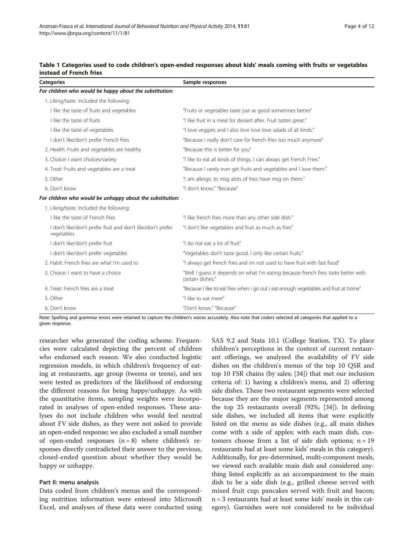<span id="page-3-0"></span>

|                         | Table 1 Categories used to code children's open-ended responses about kids' meals coming with fruits or vegetables |  |  |  |  |
|-------------------------|--------------------------------------------------------------------------------------------------------------------|--|--|--|--|
| instead of French fries |                                                                                                                    |  |  |  |  |

| <b>Categories</b>                                                         | Sample responses                                                                                       |  |  |  |
|---------------------------------------------------------------------------|--------------------------------------------------------------------------------------------------------|--|--|--|
| For children who would be happy about the substitution:                   |                                                                                                        |  |  |  |
| 1. Liking/taste. Included the following:                                  |                                                                                                        |  |  |  |
| I like the taste of fruits and vegetables                                 | "Fruits or vegetables taste just as good sometimes better"                                             |  |  |  |
| I like the taste of fruits                                                | "I like fruit in a meal for dessert after. Fruit tastes great."                                        |  |  |  |
| I like the taste of vegetables                                            | "I love veggies and I also love love love salads of all kinds."                                        |  |  |  |
| I don't like/don't prefer French fries                                    | "Because i really don't care for french fries too much anymore"                                        |  |  |  |
| 2. Health: Fruits and vegetables are healthy                              | "Because this is better for you"                                                                       |  |  |  |
| 3. Choice: I want choices/variety                                         | "I like to eat all kinds of things. I can always get French Fries."                                    |  |  |  |
| 4. Treat: Fruits and vegetables are a treat                               | "Because I rarely ever get fruits and vegetables and I love them."                                     |  |  |  |
| 5. Other                                                                  | "I am allergic to msg alots of fries have msg on them."                                                |  |  |  |
| 6. Don't know                                                             | "I don't know," "Because"                                                                              |  |  |  |
| For children who would be unhappy about the substitution:                 |                                                                                                        |  |  |  |
| 1. Liking/taste. Included the following:                                  |                                                                                                        |  |  |  |
| I like the taste of French fries                                          | "I like french fries more than any other side dish."                                                   |  |  |  |
| I don't like/don't prefer fruit and don't like/don't prefer<br>vegetables | "I don't like vegetables and fruit as much as fries"                                                   |  |  |  |
| I don't like/don't prefer fruit                                           | "I do not eat a lot of fruit"                                                                          |  |  |  |
| I don't like/don't prefer vegetables                                      | "Vegetables don't taste good. I only like certain fruits."                                             |  |  |  |
| 2. Habit: French fries are what I'm used to                               | "I always get french fries and im not used to have fruit with fast food"                               |  |  |  |
| 3. Choice: I want to have a choice                                        | "Well I quess it depends on what I'm eating because french fires taste better with<br>certain dishes." |  |  |  |
| 4. Treat: French fries are a treat                                        | "Because i like to eat fries when i go out i eat enough vegetiables and fruit at home"                 |  |  |  |
| 5. Other                                                                  | "I like to eat meet"                                                                                   |  |  |  |
| 6. Don't know                                                             | "Don't know," "Because"                                                                                |  |  |  |

Note: Spelling and grammar errors were retained to capture the children's voices accurately. Also note that coders selected all categories that applied to a given response.

researcher who generated the coding scheme. Frequencies were calculated depicting the percent of children who endorsed each reason. We also conducted logistic regression models, in which children's frequency of eating at restaurants, age group (tweens or teens), and sex were tested as predictors of the likelihood of endorsing the different reasons for being happy/unhappy. As with the quantitative items, sampling weights were incorporated in analyses of open-ended responses. These analyses do not include children who would feel neutral about FV side dishes, as they were not asked to provide an open-ended response; we also excluded a small number of open-ended responses  $(n = 8)$  where children's responses directly contradicted their answer to the previous, closed-ended question about whether they would be happy or unhappy.

# Part II: menu analysis

Data coded from children's menus and the corresponding nutrition information were entered into Microsoft Excel, and analyses of these data were conducted using SAS 9.2 and Stata 10.1 (College Station, TX). To place children's perceptions in the context of current restaurant offerings, we analyzed the availability of FV side dishes on the children's menus of the top 10 QSR and top 10 FSR chains (by sales; [\[34](#page-11-0)]) that met our inclusion criteria of: 1) having a children's menu, and 2) offering side dishes. These two restaurant segments were selected because they are the major segments represented among the top 25 restaurants overall (92%; [[34](#page-11-0)]). In defining side dishes, we included all items that were explicitly listed on the menu as side dishes (e.g., all main dishes come with a side of apples; with each main dish, customers choose from a list of side dish options;  $n = 19$ restaurants had at least some kids' meals in this category). Additionally, for pre-determined, multi-component meals, we viewed each available main dish and considered anything listed explicitly as an accompaniment to the main dish to be a side dish (e.g., grilled cheese served with mixed fruit cup; pancakes served with fruit and bacon; n = 3 restaurants had at least some kids' meals in this category). Garnishes were not considered to be individual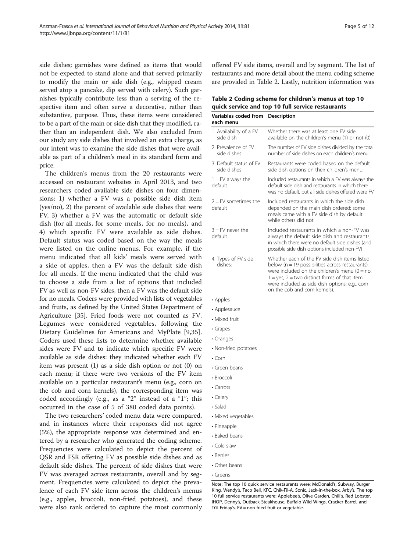side dishes; garnishes were defined as items that would not be expected to stand alone and that served primarily to modify the main or side dish (e.g., whipped cream served atop a pancake, dip served with celery). Such garnishes typically contribute less than a serving of the respective item and often serve a decorative, rather than substantive, purpose. Thus, these items were considered to be a part of the main or side dish that they modified, rather than an independent dish. We also excluded from our study any side dishes that involved an extra charge, as our intent was to examine the side dishes that were available as part of a children's meal in its standard form and price.

The children's menus from the 20 restaurants were accessed on restaurant websites in April 2013, and two researchers coded available side dishes on four dimensions: 1) whether a FV was a possible side dish item (yes/no), 2) the percent of available side dishes that were FV, 3) whether a FV was the automatic or default side dish (for all meals, for some meals, for no meals), and 4) which specific FV were available as side dishes. Default status was coded based on the way the meals were listed on the online menus. For example, if the menu indicated that all kids' meals were served with a side of apples, then a FV was the default side dish for all meals. If the menu indicated that the child was to choose a side from a list of options that included FV as well as non-FV sides, then a FV was the default side for no meals. Coders were provided with lists of vegetables and fruits, as defined by the United States Department of Agriculture [[35](#page-11-0)]. Fried foods were not counted as FV. Legumes were considered vegetables, following the Dietary Guidelines for Americans and MyPlate [[9,35](#page-11-0)]. Coders used these lists to determine whether available sides were FV and to indicate which specific FV were available as side dishes: they indicated whether each FV item was present (1) as a side dish option or not (0) on each menu; if there were two versions of the FV item available on a particular restaurant's menu (e.g., corn on the cob and corn kernels), the corresponding item was coded accordingly (e.g., as a "2" instead of a "1"; this occurred in the case of 5 of 380 coded data points).

The two researchers' coded menu data were compared, and in instances where their responses did not agree (5%), the appropriate response was determined and entered by a researcher who generated the coding scheme. Frequencies were calculated to depict the percent of QSR and FSR offering FV as possible side dishes and as default side dishes. The percent of side dishes that were FV was averaged across restaurants, overall and by segment. Frequencies were calculated to depict the prevalence of each FV side item across the children's menus (e.g., apples, broccoli, non-fried potatoes), and these were also rank ordered to capture the most commonly

offered FV side items, overall and by segment. The list of restaurants and more detail about the menu coding scheme are provided in Table 2. Lastly, nutrition information was

| Table 2 Coding scheme for children's menus at top 10 |  |
|------------------------------------------------------|--|
| quick service and top 10 full service restaurants    |  |

| Variables coded from Description<br>each menu |                                                                                                                                                                                                                                                                                                  |
|-----------------------------------------------|--------------------------------------------------------------------------------------------------------------------------------------------------------------------------------------------------------------------------------------------------------------------------------------------------|
| 1. Availability of a FV<br>side dish          | Whether there was at least one FV side<br>available on the children's menu (1) or not (0)                                                                                                                                                                                                        |
| 2. Prevalence of FV<br>side dishes            | The number of FV side dishes divided by the total<br>number of side dishes on each children's menu                                                                                                                                                                                               |
| 3. Default status of FV<br>side dishes        | Restaurants were coded based on the default<br>side dish options on their children's menu:                                                                                                                                                                                                       |
| $1 = FV$ always the<br>default                | Included restaurants in which a FV was always the<br>default side dish and restaurants in which there<br>was no default, but all side dishes offered were FV                                                                                                                                     |
| $2 = FV$ sometimes the<br>default             | Included restaurants in which the side dish<br>depended on the main dish ordered: some<br>meals came with a FV side dish by default<br>while others did not                                                                                                                                      |
| $3 = FV$ never the<br>default                 | Included restaurants in which a non-FV was<br>always the default side dish and restaurants<br>in which there were no default side dishes (and<br>possible side dish options included non-FV)                                                                                                     |
| 4. Types of FV side<br>dishes:                | Whether each of the FV side dish items listed<br>below ( $n = 19$ possibilities across restaurants)<br>were included on the children's menu ( $0 = no$ ,<br>$1 = yes$ , $2 = two$ distinct forms of that item<br>were included as side dish options; e.g., corn<br>on the cob and corn kernels). |
| • Apples                                      |                                                                                                                                                                                                                                                                                                  |
| • Applesauce                                  |                                                                                                                                                                                                                                                                                                  |
| • Mixed fruit                                 |                                                                                                                                                                                                                                                                                                  |
| • Grapes                                      |                                                                                                                                                                                                                                                                                                  |
| • Oranges                                     |                                                                                                                                                                                                                                                                                                  |
| • Non-fried potatoes                          |                                                                                                                                                                                                                                                                                                  |
| $\cdot$ Corn                                  |                                                                                                                                                                                                                                                                                                  |
| • Green beans                                 |                                                                                                                                                                                                                                                                                                  |
| • Broccoli                                    |                                                                                                                                                                                                                                                                                                  |
| • Carrots                                     |                                                                                                                                                                                                                                                                                                  |
| • Celery                                      |                                                                                                                                                                                                                                                                                                  |
| • Salad                                       |                                                                                                                                                                                                                                                                                                  |
| • Mixed vegetables                            |                                                                                                                                                                                                                                                                                                  |
| • Pineapple                                   |                                                                                                                                                                                                                                                                                                  |
| • Baked beans                                 |                                                                                                                                                                                                                                                                                                  |
| • Cole slaw                                   |                                                                                                                                                                                                                                                                                                  |
| • Berries                                     |                                                                                                                                                                                                                                                                                                  |
| • Other beans                                 |                                                                                                                                                                                                                                                                                                  |
| • Greens                                      |                                                                                                                                                                                                                                                                                                  |

IHOP, Denny's, Outback Steakhouse, Buffalo Wild Wings, Cracker Barrel, and

TGI Friday's. FV = non-fried fruit or vegetable.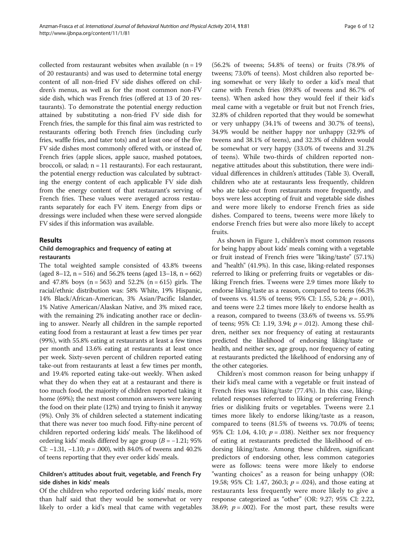collected from restaurant websites when available  $(n = 19)$ of 20 restaurants) and was used to determine total energy content of all non-fried FV side dishes offered on children's menus, as well as for the most common non-FV side dish, which was French fries (offered at 13 of 20 restaurants). To demonstrate the potential energy reduction attained by substituting a non-fried FV side dish for French fries, the sample for this final aim was restricted to restaurants offering both French fries (including curly fries, waffle fries, and tater tots) and at least one of the five FV side dishes most commonly offered with, or instead of, French fries (apple slices, apple sauce, mashed potatoes, broccoli, or salad;  $n = 11$  restaurants). For each restaurant, the potential energy reduction was calculated by subtracting the energy content of each applicable FV side dish from the energy content of that restaurant's serving of French fries. These values were averaged across restaurants separately for each FV item. Energy from dips or dressings were included when these were served alongside FV sides if this information was available.

#### Results

#### Child demographics and frequency of eating at restaurants

The total weighted sample consisted of 43.8% tweens (aged 8–12,  $n = 516$ ) and 56.2% teens (aged 13–18,  $n = 662$ ) and 47.8% boys ( $n = 563$ ) and 52.2% ( $n = 615$ ) girls. The racial/ethnic distribution was: 58% White, 19% Hispanic, 14% Black/African-American, 3% Asian/Pacific Islander, 1% Native American/Alaskan Native, and 3% mixed race, with the remaining 2% indicating another race or declining to answer. Nearly all children in the sample reported eating food from a restaurant at least a few times per year (99%), with 55.8% eating at restaurants at least a few times per month and 13.6% eating at restaurants at least once per week. Sixty-seven percent of children reported eating take-out from restaurants at least a few times per month, and 19.4% reported eating take-out weekly. When asked what they do when they eat at a restaurant and there is too much food, the majority of children reported taking it home (69%); the next most common answers were leaving the food on their plate (12%) and trying to finish it anyway (9%). Only 3% of children selected a statement indicating that there was never too much food. Fifty-nine percent of children reported ordering kids' meals. The likelihood of ordering kids' meals differed by age group  $(B = -1.21; 95\%)$ CI: −1.31, −1.10;  $p = .000$ ), with 84.0% of tweens and 40.2% of teens reporting that they ever order kids' meals.

# Children's attitudes about fruit, vegetable, and French Fry side dishes in kids' meals

Of the children who reported ordering kids' meals, more than half said that they would be somewhat or very likely to order a kid's meal that came with vegetables

(56.2% of tweens; 54.8% of teens) or fruits (78.9% of tweens; 73.0% of teens). Most children also reported being somewhat or very likely to order a kid's meal that came with French fries (89.8% of tweens and 86.7% of teens). When asked how they would feel if their kid's meal came with a vegetable or fruit but not French fries, 32.8% of children reported that they would be somewhat or very unhappy (34.1% of tweens and 30.7% of teens), 34.9% would be neither happy nor unhappy (32.9% of tweens and 38.1% of teens), and 32.3% of children would be somewhat or very happy (33.0% of tweens and 31.2% of teens). While two-thirds of children reported nonnegative attitudes about this substitution, there were individual differences in children's attitudes (Table [3](#page-6-0)). Overall, children who ate at restaurants less frequently, children who ate take-out from restaurants more frequently, and boys were less accepting of fruit and vegetable side dishes and were more likely to endorse French fries as side dishes. Compared to teens, tweens were more likely to endorse French fries but were also more likely to accept fruits.

As shown in Figure [1,](#page-7-0) children's most common reasons for being happy about kids' meals coming with a vegetable or fruit instead of French fries were "liking/taste" (57.1%) and "health" (41.9%). In this case, liking-related responses referred to liking or preferring fruits or vegetables or disliking French fries. Tweens were 2.9 times more likely to endorse liking/taste as a reason, compared to teens (66.3% of tweens vs. 41.5% of teens; 95% CI: 1.55, 5.24;  $p = .001$ ), and teens were 2.2 times more likely to endorse health as a reason, compared to tweens (33.6% of tweens vs. 55.9% of teens; 95% CI: 1.19, 3.94;  $p = .012$ ). Among these children, neither sex nor frequency of eating at restaurants predicted the likelihood of endorsing liking/taste or health, and neither sex, age group, nor frequency of eating at restaurants predicted the likelihood of endorsing any of the other categories.

Children's most common reason for being unhappy if their kid's meal came with a vegetable or fruit instead of French fries was liking/taste (77.4%). In this case, likingrelated responses referred to liking or preferring French fries or disliking fruits or vegetables. Tweens were 2.1 times more likely to endorse liking/taste as a reason, compared to teens (81.5% of tweens vs. 70.0% of teens; 95% CI: 1.04, 4.10;  $p = .038$ ). Neither sex nor frequency of eating at restaurants predicted the likelihood of endorsing liking/taste. Among these children, significant predictors of endorsing other, less common categories were as follows: teens were more likely to endorse "wanting choices" as a reason for being unhappy (OR: 19.58; 95% CI: 1.47, 260.3;  $p = .024$ ), and those eating at restaurants less frequently were more likely to give a response categorized as "other" (OR: 9.27; 95% CI: 2.22, 38.69;  $p = .002$ ). For the most part, these results were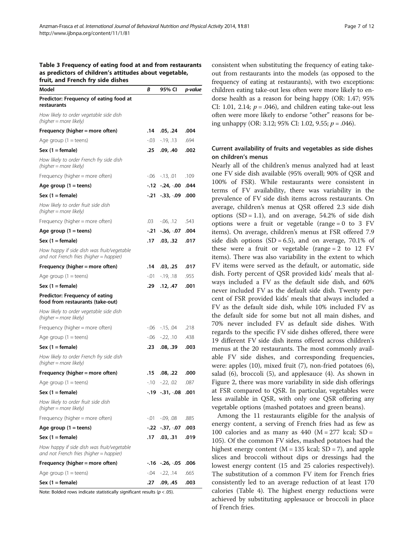<span id="page-6-0"></span>

| Model                                                                                 | В         | 95% CI             | p-value |
|---------------------------------------------------------------------------------------|-----------|--------------------|---------|
| Predictor: Frequency of eating food at<br>restaurants                                 |           |                    |         |
| How likely to order vegetable side dish<br>(higher = more likely)                     |           |                    |         |
| Frequency (higher = more often)                                                       | .14       | .05, .24           | .004    |
| Age group $(1 = \text{teens})$                                                        | -.03      | $-19, 13$          | .694    |
| Sex (1 = female)                                                                      | .25       | .09, .40           | .002    |
| How likely to order French fry side dish<br>(higher = more likely)                    |           |                    |         |
| Frequency (higher = more often)                                                       | -.06      | $-13, .01$         | .109    |
| Age group $(1 =$ teens)                                                               |           | $-12 - 24, -00$    | .044    |
| Sex (1 = female)                                                                      | -.21      | $-.33,-.09$        | .000    |
| How likely to order fruit side dish<br>(higher = more likely)                         |           |                    |         |
| Frequency (higher = more often)                                                       | .03       | $-06, 12$          | .543    |
| Age group $(1 = \text{teens})$                                                        | -.21      | -.36, -.07         | .004    |
| Sex (1 = female)                                                                      | .17       | .03, .32           | .017    |
| How happy if side dish was fruit/vegetable<br>and not French fries (higher = happier) |           |                    |         |
| Frequency (higher = more often)                                                       | .14       | .03, .25           | .017    |
| Age group $(1 = \text{teens})$                                                        | -.01      | $-19, 18$          | .955    |
| Sex (1 = female)                                                                      | .29       | .12, .47           | .001    |
| Predictor: Frequency of eating<br>food from restaurants (take-out)                    |           |                    |         |
| How likely to order vegetable side dish<br>(higher = more likely)                     |           |                    |         |
| Frequency (higher $=$ more often)                                                     | -.06      | $-15, .04$         | .218    |
| Age group $(1 = \text{teens})$                                                        | -.06      | $-22, 10$          | .438    |
| Sex (1 = female)                                                                      | .23       | .08, .39           | .003    |
| How likely to order French fry side dish<br>(higher = more likely)                    |           |                    |         |
| Frequency (higher = more often)                                                       | .15       | .08, .22           | .000    |
| Age group $(1 = \text{teens})$                                                        | $-10^{-}$ | $-22.02$           | .087    |
| Sex $(1 = female)$                                                                    | $-19$     | $-.31,-.08$        | .001    |
| How likely to order fruit side dish<br>(higher = more likely)                         |           |                    |         |
| Frequency (higher = more often)                                                       | -.01      | $-0.09, 0.08$      | .885    |
| Age group $(1 =$ teens)                                                               | -.22      | -.37, -.07         | .003    |
| $Sex(1 = female)$                                                                     | .17       | .03, .31           | .019    |
| How happy if side dish was fruit/vegetable<br>and not French fries (higher = happier) |           |                    |         |
| Frequency (higher = more often)                                                       |           | $-.16 - .26, -.05$ | .006    |
| Age group $(1 = \text{teens})$                                                        | -.04      | $-22, 14$          | .665    |
| Sex (1 = female)                                                                      | .27       | .09, .45           | .003    |

Note: Bolded rows indicate statistically significant results ( $p < .05$ ).

consistent when substituting the frequency of eating takeout from restaurants into the models (as opposed to the frequency of eating at restaurants), with two exceptions: children eating take-out less often were more likely to endorse health as a reason for being happy (OR: 1.47; 95% CI: 1.01, 2.14;  $p = .046$ ), and children eating take-out less often were more likely to endorse "other" reasons for being unhappy (OR: 3.12; 95% CI: 1.02, 9.55;  $p = .046$ ).

# Current availability of fruits and vegetables as side dishes on children's menus

Nearly all of the children's menus analyzed had at least one FV side dish available (95% overall; 90% of QSR and 100% of FSR). While restaurants were consistent in terms of FV availability, there was variability in the prevalence of FV side dish items across restaurants. On average, children's menus at QSR offered 2.3 side dish options  $(SD = 1.1)$ , and on average, 54.2% of side dish options were a fruit or vegetable (range =  $0$  to  $3$  FV items). On average, children's menus at FSR offered 7.9 side dish options  $(SD = 6.5)$ , and on average, 70.1% of these were a fruit or vegetable (range  $= 2$  to 12 FV items). There was also variability in the extent to which FV items were served as the default, or automatic, side dish. Forty percent of QSR provided kids' meals that always included a FV as the default side dish, and 60% never included FV as the default side dish. Twenty percent of FSR provided kids' meals that always included a FV as the default side dish, while 10% included FV as the default side for some but not all main dishes, and 70% never included FV as default side dishes. With regards to the specific FV side dishes offered, there were 19 different FV side dish items offered across children's menus at the 20 restaurants. The most commonly available FV side dishes, and corresponding frequencies, were: apples (10), mixed fruit (7), non-fried potatoes (6), salad (6), broccoli (5), and applesauce (4). As shown in Figure [2](#page-8-0), there was more variability in side dish offerings at FSR compared to QSR. In particular, vegetables were less available in QSR, with only one QSR offering any vegetable options (mashed potatoes and green beans).

Among the 11 restaurants eligible for the analysis of energy content, a serving of French fries had as few as 100 calories and as many as  $440$  (M = 277 kcal; SD = 105). Of the common FV sides, mashed potatoes had the highest energy content ( $M = 135$  kcal;  $SD = 7$ ), and apple slices and broccoli without dips or dressings had the lowest energy content (15 and 25 calories respectively). The substitution of a common FV item for French fries consistently led to an average reduction of at least 170 calories (Table [4](#page-8-0)). The highest energy reductions were achieved by substituting applesauce or broccoli in place of French fries.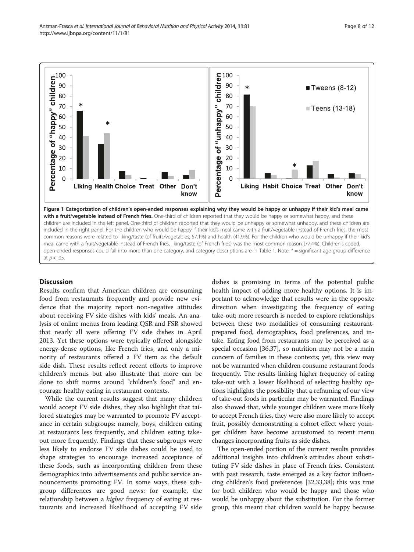<span id="page-7-0"></span>

# **Discussion**

Results confirm that American children are consuming food from restaurants frequently and provide new evidence that the majority report non-negative attitudes about receiving FV side dishes with kids' meals. An analysis of online menus from leading QSR and FSR showed that nearly all were offering FV side dishes in April 2013. Yet these options were typically offered alongside energy-dense options, like French fries, and only a minority of restaurants offered a FV item as the default side dish. These results reflect recent efforts to improve children's menus but also illustrate that more can be done to shift norms around "children's food" and encourage healthy eating in restaurant contexts.

While the current results suggest that many children would accept FV side dishes, they also highlight that tailored strategies may be warranted to promote FV acceptance in certain subgroups: namely, boys, children eating at restaurants less frequently, and children eating takeout more frequently. Findings that these subgroups were less likely to endorse FV side dishes could be used to shape strategies to encourage increased acceptance of these foods, such as incorporating children from these demographics into advertisements and public service announcements promoting FV. In some ways, these subgroup differences are good news: for example, the relationship between a higher frequency of eating at restaurants and increased likelihood of accepting FV side dishes is promising in terms of the potential public health impact of adding more healthy options. It is important to acknowledge that results were in the opposite direction when investigating the frequency of eating take-out; more research is needed to explore relationships between these two modalities of consuming restaurantprepared food, demographics, food preferences, and intake. Eating food from restaurants may be perceived as a special occasion [[36](#page-11-0),[37](#page-11-0)], so nutrition may not be a main concern of families in these contexts; yet, this view may not be warranted when children consume restaurant foods frequently. The results linking higher frequency of eating take-out with a lower likelihood of selecting healthy options highlights the possibility that a reframing of our view of take-out foods in particular may be warranted. Findings also showed that, while younger children were more likely to accept French fries, they were also more likely to accept fruit, possibly demonstrating a cohort effect where younger children have become accustomed to recent menu changes incorporating fruits as side dishes.

The open-ended portion of the current results provides additional insights into children's attitudes about substituting FV side dishes in place of French fries. Consistent with past research, taste emerged as a key factor influencing children's food preferences [[32,33,38\]](#page-11-0); this was true for both children who would be happy and those who would be unhappy about the substitution. For the former group, this meant that children would be happy because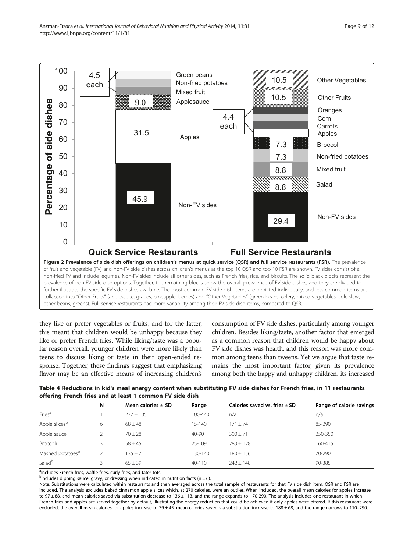<span id="page-8-0"></span>

they like or prefer vegetables or fruits, and for the latter, this meant that children would be unhappy because they like or prefer French fries. While liking/taste was a popular reason overall, younger children were more likely than teens to discuss liking or taste in their open-ended response. Together, these findings suggest that emphasizing flavor may be an effective means of increasing children's

consumption of FV side dishes, particularly among younger children. Besides liking/taste, another factor that emerged as a common reason that children would be happy about FV side dishes was health, and this reason was more common among teens than tweens. Yet we argue that taste remains the most important factor, given its prevalence among both the happy and unhappy children, its increased

Table 4 Reductions in kid's meal energy content when substituting FV side dishes for French fries, in 11 restaurants offering French fries and at least 1 common FV side dish

| $\tilde{\phantom{a}}$        |    |                        |             |                                   |                          |
|------------------------------|----|------------------------|-------------|-----------------------------------|--------------------------|
|                              | N  | Mean calories $\pm$ SD | Range       | Calories saved vs. fries $\pm$ SD | Range of calorie savings |
| Fries <sup>a</sup>           | 11 | $277 + 105$            | $100 - 440$ | n/a                               | n/a                      |
| Apple slices <sup>b</sup>    | 6  | $68 \pm 48$            | $15 - 140$  | $171 + 74$                        | 85-290                   |
| Apple sauce                  |    | $70 \pm 28$            | 40-90       | $300 \pm 71$                      | 250-350                  |
| Broccoli                     |    | $58 \pm 45$            | 25-109      | $283 \pm 128$                     | 160-415                  |
| Mashed potatoes <sup>b</sup> |    | $135 \pm 7$            | $130 - 140$ | $180 \pm 156$                     | 70-290                   |
| Salad <sup>b</sup>           |    | $65 + 39$              | $40 - 110$  | $242 + 148$                       | 90-385                   |
|                              |    |                        |             |                                   |                          |

<sup>a</sup>Includes French fries, waffle fries, curly fries, and tater tots.

 $^{\text{b}}$ Includes dipping sauce, gravy, or dressing when indicated in nutrition facts (n = 6).

Note: Substitutions were calculated within restaurants and then averaged across the total sample of restaurants for that FV side dish item. QSR and FSR are included. The analysis excludes baked cinnamon apple slices which, at 270 calories, were an outlier. When included, the overall mean calories for apples increase to 97 ± 88, and mean calories saved via substitution decrease to 136 ± 113, and the range expands to −70-290. The analysis includes one restaurant in which French fries and apples are served together by default, illustrating the energy reduction that could be achieved if only apples were offered. If this restaurant were excluded, the overall mean calories for apples increase to 79 $\pm$ 45, mean calories saved via substitution increase to 188 $\pm$ 68, and the range narrows to 110-290.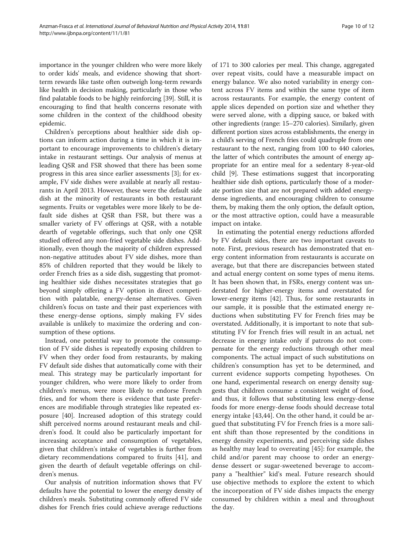importance in the younger children who were more likely to order kids' meals, and evidence showing that shortterm rewards like taste often outweigh long-term rewards like health in decision making, particularly in those who find palatable foods to be highly reinforcing [\[39\]](#page-11-0). Still, it is encouraging to find that health concerns resonate with some children in the context of the childhood obesity epidemic.

Children's perceptions about healthier side dish options can inform action during a time in which it is important to encourage improvements to children's dietary intake in restaurant settings. Our analysis of menus at leading QSR and FSR showed that there has been some progress in this area since earlier assessments [[3\]](#page-11-0); for example, FV side dishes were available at nearly all restaurants in April 2013. However, these were the default side dish at the minority of restaurants in both restaurant segments. Fruits or vegetables were more likely to be default side dishes at QSR than FSR, but there was a smaller variety of FV offerings at QSR, with a notable dearth of vegetable offerings, such that only one QSR studied offered any non-fried vegetable side dishes. Additionally, even though the majority of children expressed non-negative attitudes about FV side dishes, more than 85% of children reported that they would be likely to order French fries as a side dish, suggesting that promoting healthier side dishes necessitates strategies that go beyond simply offering a FV option in direct competition with palatable, energy-dense alternatives. Given children's focus on taste and their past experiences with these energy-dense options, simply making FV sides available is unlikely to maximize the ordering and consumption of these options.

Instead, one potential way to promote the consumption of FV side dishes is repeatedly exposing children to FV when they order food from restaurants, by making FV default side dishes that automatically come with their meal. This strategy may be particularly important for younger children, who were more likely to order from children's menus, were more likely to endorse French fries, and for whom there is evidence that taste preferences are modifiable through strategies like repeated exposure [\[40](#page-11-0)]. Increased adoption of this strategy could shift perceived norms around restaurant meals and children's food. It could also be particularly important for increasing acceptance and consumption of vegetables, given that children's intake of vegetables is further from dietary recommendations compared to fruits [[41](#page-11-0)], and given the dearth of default vegetable offerings on children's menus.

Our analysis of nutrition information shows that FV defaults have the potential to lower the energy density of children's meals. Substituting commonly offered FV side dishes for French fries could achieve average reductions of 171 to 300 calories per meal. This change, aggregated over repeat visits, could have a measurable impact on energy balance. We also noted variability in energy content across FV items and within the same type of item across restaurants. For example, the energy content of apple slices depended on portion size and whether they were served alone, with a dipping sauce, or baked with other ingredients (range: 15–270 calories). Similarly, given different portion sizes across establishments, the energy in a child's serving of French fries could quadruple from one restaurant to the next, ranging from 100 to 440 calories, the latter of which contributes the amount of energy appropriate for an entire meal for a sedentary 8-year-old child [[9\]](#page-11-0). These estimations suggest that incorporating healthier side dish options, particularly those of a moderate portion size that are not prepared with added energydense ingredients, and encouraging children to consume them, by making them the only option, the default option, or the most attractive option, could have a measurable impact on intake.

In estimating the potential energy reductions afforded by FV default sides, there are two important caveats to note. First, previous research has demonstrated that energy content information from restaurants is accurate on average, but that there are discrepancies between stated and actual energy content on some types of menu items. It has been shown that, in FSRs, energy content was understated for higher-energy items and overstated for lower-energy items [[42\]](#page-11-0). Thus, for some restaurants in our sample, it is possible that the estimated energy reductions when substituting FV for French fries may be overstated. Additionally, it is important to note that substituting FV for French fries will result in an actual, net decrease in energy intake only if patrons do not compensate for the energy reductions through other meal components. The actual impact of such substitutions on children's consumption has yet to be determined, and current evidence supports competing hypotheses. On one hand, experimental research on energy density suggests that children consume a consistent weight of food, and thus, it follows that substituting less energy-dense foods for more energy-dense foods should decrease total energy intake [[43,44](#page-11-0)]. On the other hand, it could be argued that substituting FV for French fries is a more salient shift than those represented by the conditions in energy density experiments, and perceiving side dishes as healthy may lead to overeating [[45\]](#page-11-0): for example, the child and/or parent may choose to order an energydense dessert or sugar-sweetened beverage to accompany a "healthier" kid's meal. Future research should use objective methods to explore the extent to which the incorporation of FV side dishes impacts the energy consumed by children within a meal and throughout the day.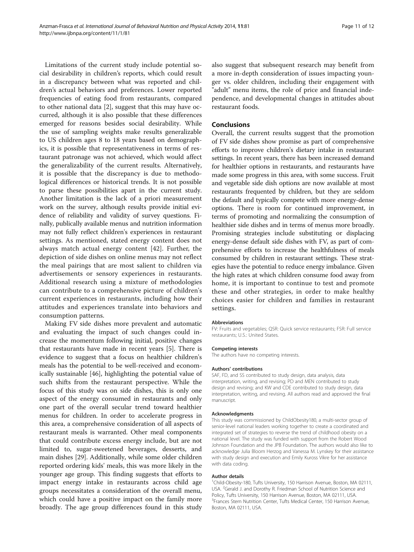Limitations of the current study include potential social desirability in children's reports, which could result in a discrepancy between what was reported and children's actual behaviors and preferences. Lower reported frequencies of eating food from restaurants, compared to other national data [\[2](#page-11-0)], suggest that this may have occurred, although it is also possible that these differences emerged for reasons besides social desirability. While the use of sampling weights make results generalizable to US children ages 8 to 18 years based on demographics, it is possible that representativeness in terms of restaurant patronage was not achieved, which would affect the generalizability of the current results. Alternatively, it is possible that the discrepancy is due to methodological differences or historical trends. It is not possible to parse these possibilities apart in the current study. Another limitation is the lack of a priori measurement work on the survey, although results provide initial evidence of reliability and validity of survey questions. Finally, publically available menus and nutrition information may not fully reflect children's experiences in restaurant settings. As mentioned, stated energy content does not always match actual energy content [[42\]](#page-11-0). Further, the depiction of side dishes on online menus may not reflect the meal pairings that are most salient to children via advertisements or sensory experiences in restaurants. Additional research using a mixture of methodologies can contribute to a comprehensive picture of children's current experiences in restaurants, including how their attitudes and experiences translate into behaviors and consumption patterns.

Making FV side dishes more prevalent and automatic and evaluating the impact of such changes could increase the momentum following initial, positive changes that restaurants have made in recent years [\[5](#page-11-0)]. There is evidence to suggest that a focus on healthier children's meals has the potential to be well-received and economically sustainable [\[46\]](#page-11-0), highlighting the potential value of such shifts from the restaurant perspective. While the focus of this study was on side dishes, this is only one aspect of the energy consumed in restaurants and only one part of the overall secular trend toward healthier menus for children. In order to accelerate progress in this area, a comprehensive consideration of all aspects of restaurant meals is warranted. Other meal components that could contribute excess energy include, but are not limited to, sugar-sweetened beverages, desserts, and main dishes [\[29](#page-11-0)]. Additionally, while some older children reported ordering kids' meals, this was more likely in the younger age group. This finding suggests that efforts to impact energy intake in restaurants across child age groups necessitates a consideration of the overall menu, which could have a positive impact on the family more broadly. The age group differences found in this study

also suggest that subsequent research may benefit from a more in-depth consideration of issues impacting younger vs. older children, including their engagement with "adult" menu items, the role of price and financial independence, and developmental changes in attitudes about restaurant foods.

#### Conclusions

Overall, the current results suggest that the promotion of FV side dishes show promise as part of comprehensive efforts to improve children's dietary intake in restaurant settings. In recent years, there has been increased demand for healthier options in restaurants, and restaurants have made some progress in this area, with some success. Fruit and vegetable side dish options are now available at most restaurants frequented by children, but they are seldom the default and typically compete with more energy-dense options. There is room for continued improvement, in terms of promoting and normalizing the consumption of healthier side dishes and in terms of menus more broadly. Promising strategies include substituting or displacing energy-dense default side dishes with FV, as part of comprehensive efforts to increase the healthfulness of meals consumed by children in restaurant settings. These strategies have the potential to reduce energy imbalance. Given the high rates at which children consume food away from home, it is important to continue to test and promote these and other strategies, in order to make healthy choices easier for children and families in restaurant settings.

#### Abbreviations

FV: Fruits and vegetables; QSR: Quick service restaurants; FSR: Full service restaurants; U.S.: United States.

#### Competing interests

The authors have no competing interests.

#### Authors' contributions

SAF, FD, and SS contributed to study design, data analysis, data interpretation, writing, and revising; PD and MEN contributed to study design and revising; and KW and CDE contributed to study design, data interpretation, writing, and revising. All authors read and approved the final manuscript.

#### Acknowledgments

This study was commissioned by ChildObesity180, a multi-sector group of senior-level national leaders working together to create a coordinated and integrated set of strategies to reverse the trend of childhood obesity on a national level. The study was funded with support from the Robert Wood Johnson Foundation and the JPB Foundation. The authors would also like to acknowledge Julia Bloom Herzog and Vanessa M. Lynskey for their assistance with study design and execution and Emily Kuross Vikre for her assistance with data coding.

#### Author details

<sup>1</sup>Child-Obesity-180, Tufts University, 150 Harrison Avenue, Boston, MA 02111 USA. <sup>2</sup>Gerald J. and Dorothy R. Friedman School of Nutrition Science and Policy, Tufts University, 150 Harrison Avenue, Boston, MA 02111, USA. <sup>3</sup> Frances Stern Nutrition Center, Tufts Medical Center, 150 Harrison Avenue, Boston, MA 02111, USA.